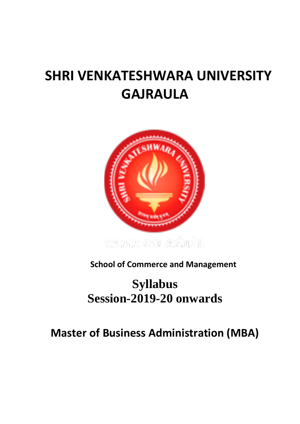# **SHRI VENKATESHWARA UNIVERSITY GAJRAULA**



**School of Commerce and Management**

# **Syllabus Session-2019-20 onwards**

# **Master of Business Administration (MBA)**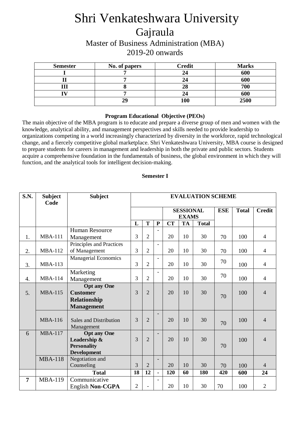# Shri Venkateshwara University Gajraula

Master of Business Administration (MBA) 2019-20 onwards

| <b>Semester</b> | No. of papers | <b>Credit</b> | <b>Marks</b> |  |  |
|-----------------|---------------|---------------|--------------|--|--|
|                 |               |               | 600          |  |  |
|                 |               |               | 600          |  |  |
|                 |               | 28            | 700          |  |  |
|                 |               |               | 600          |  |  |
|                 | 29            | 100           | 2500         |  |  |

#### **Program Educational Objective (PEOs)**

The main objective of the MBA program is to educate and prepare a diverse group of men and women with the knowledge, analytical ability, and management perspectives and skills needed to provide leadership to organizations competing in a world increasingly characterized by diversity in the workforce, rapid technological change, and a fiercely competitive global marketplace. Shri Venkateshwara University, MBA course is designed to prepare students for careers in management and leadership in both the private and public sectors. Students acquire a comprehensive foundation in the fundamentals of business, the global environment in which they will function, and the analytical tools for intelligent decision-making.

| <b>S.N.</b>    | <b>Subject</b><br>Code | <b>Subject</b>                | <b>EVALUATION SCHEME</b> |                |                          |                                  |           |              |              |               |                |
|----------------|------------------------|-------------------------------|--------------------------|----------------|--------------------------|----------------------------------|-----------|--------------|--------------|---------------|----------------|
|                |                        |                               |                          |                |                          | <b>SESSIONAL</b><br><b>EXAMS</b> |           | <b>ESE</b>   | <b>Total</b> | <b>Credit</b> |                |
|                |                        |                               | L                        | T              | ${\bf P}$                | <b>CT</b>                        | <b>TA</b> | <b>Total</b> |              |               |                |
|                |                        | <b>Human Resource</b>         |                          |                |                          |                                  |           |              |              |               |                |
| 1.             | <b>MBA-111</b>         | Management                    | 3                        | $\overline{2}$ |                          | 20                               | 10        | 30           | 70           | 100           | $\overline{4}$ |
|                |                        | Principles and Practices      |                          |                | $\overline{a}$           |                                  |           |              |              |               |                |
| 2.             | <b>MBA-112</b>         | of Management                 | $\overline{3}$           | $\overline{2}$ |                          | 20                               | 10        | 30           | 70           | 100           | $\overline{4}$ |
|                |                        | <b>Managerial Economics</b>   |                          |                | $\overline{\phantom{a}}$ |                                  |           |              | 70           |               |                |
| 3.             | <b>MBA-113</b>         |                               | 3                        | $\overline{2}$ |                          | 20                               | 10        | 30           |              | 100           | $\overline{4}$ |
|                |                        | Marketing                     |                          |                |                          |                                  |           |              | 70           |               |                |
| 4.             | <b>MBA-114</b>         | Management                    | $\overline{3}$           | $\overline{2}$ |                          | 20                               | 10        | 30           |              | 100           | $\overline{4}$ |
|                |                        | <b>Opt any One</b>            |                          |                |                          |                                  |           |              |              |               |                |
| 5.             | <b>MBA-115</b>         | <b>Customer</b>               | $\overline{3}$           | $\overline{2}$ |                          | 20                               | 10        | 30           | 70           | 100           | $\overline{4}$ |
|                |                        | Relationship                  |                          |                |                          |                                  |           |              |              |               |                |
|                |                        | <b>Management</b>             |                          |                |                          |                                  |           |              |              |               |                |
|                |                        |                               |                          |                |                          |                                  |           |              |              |               |                |
|                | <b>MBA-116</b>         | <b>Sales and Distribution</b> | 3                        | $\overline{2}$ |                          | 20                               | 10        | 30           | 70           | 100           | $\overline{4}$ |
|                |                        | Management                    |                          |                |                          |                                  |           |              |              |               |                |
| 6              | <b>MBA-117</b>         | <b>Opt any One</b>            |                          |                | $\overline{\phantom{0}}$ |                                  |           |              |              |               |                |
|                |                        | Leadership &                  | $\overline{3}$           | $\overline{2}$ |                          | 20                               | 10        | 30           |              | 100           | $\overline{4}$ |
|                |                        | <b>Personality</b>            |                          |                |                          |                                  |           |              | 70           |               |                |
|                |                        | <b>Development</b>            |                          |                |                          |                                  |           |              |              |               |                |
|                | <b>MBA-118</b>         | Negotiation and<br>Counseling | 3                        | $\overline{2}$ | $\overline{\phantom{0}}$ | 20                               | 10        | 30           |              |               | $\overline{4}$ |
|                |                        | <b>Total</b>                  | 18                       | 12             | $\blacksquare$           | 120                              | 60        | 180          | 70<br>420    | 100<br>600    | 24             |
| $\overline{7}$ | <b>MBA-119</b>         |                               |                          |                |                          |                                  |           |              |              |               |                |
|                |                        | Communicative                 | $\overline{2}$           |                |                          | 20                               | 10        | 30           | 70           | 100           | $\overline{2}$ |
|                |                        | English Non-CGPA              |                          |                |                          |                                  |           |              |              |               |                |

## **Semester I**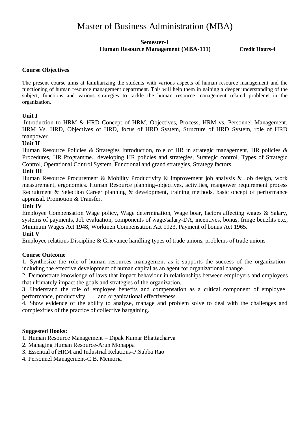# Master of Business Administration (MBA)

## **Semester-1 Human Resource Management (MBA-111) Credit Hours-4**

## **Course Objectives**

The present course aims at familiarizing the students with various aspects of human resource management and the functioning of human resource management department. This will help them in gaining a deeper understanding of the subject, functions and various strategies to tackle the human resource management related problems in the organization.

## **Unit I**

Introduction to HRM & HRD Concept of HRM, Objectives, Process, HRM vs. Personnel Management, HRM Vs. HRD, Objectives of HRD, focus of HRD System, Structure of HRD System, role of HRD manpower.

## **Unit II**

Human Resource Policies & Strategies Introduction, role of HR in strategic management, HR policies & Procedures, HR Programme., developing HR policies and strategies, Strategic control, Types of Strategic Control, Operational Control System, Functional and grand strategies, Strategy factors.

## **Unit III**

Human Resource Procurement & Mobility Productivity & improvement job analysis & Job design, work measurement, ergonomics. Human Resource planning-objectives, activities, manpower requirement process Recruitment & Selection Career planning & development, training methods, basic oncept of performance appraisal. Promotion & Transfer.

#### **Unit IV**

Employee Compensation Wage policy, Wage determination, Wage boar, factors affecting wages & Salary, systems of payments, Job evaluation, components of wage/salary-DA, incentives, bonus, fringe benefits etc., Minimum Wages Act 1948, Workmen Compensation Act 1923, Payment of bonus Act 1965.

#### **Unit V**

Employee relations Discipline & Grievance handling types of trade unions, problems of trade unions

#### **Course Outcome**

1**.** Synthesize the role of human resources management as it supports the success of the organization including the effective development of human capital as an agent for organizational change.

2. Demonstrate knowledge of laws that impact behaviour in relationships between employers and employees that ultimately impact the goals and strategies of the organization.

3. Understand the role of employee benefits and compensation as a critical component of employee performance, productivity and organizational effectiveness.

4. Show evidence of the ability to analyze, manage and problem solve to deal with the challenges and complexities of the practice of collective bargaining.

#### **Suggested Books:**

- 1. Human Resource Management Dipak Kumar Bhattacharya
- 2. Managing Human Resource-Arun Monappa
- 3. Essential of HRM and Industrial Relations-P.Subba Rao
- 4. Personnel Management-C.B. Memoria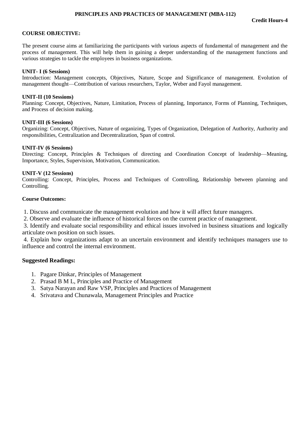#### **PRINCIPLES AND PRACTICES OF MANAGEMENT (MBA-112)**

#### **COURSE OBJECTIVE:**

The present course aims at familiarizing the participants with various aspects of fundamental of management and the process of management. This will help them in gaining a deeper understanding of the management functions and various strategies to tackle the employees in business organizations.

#### **UNIT- I (6 Sessions)**

Introduction: Management concepts, Objectives, Nature, Scope and Significance of management. Evolution of management thought—Contribution of various researchers, Taylor, Weber and Fayol management.

#### **UNIT-II (10 Sessions)**

Planning: Concept, Objectives, Nature, Limitation, Process of planning, Importance, Forms of Planning, Techniques, and Process of decision making.

#### **UNIT-III (6 Sessions)**

Organizing: Concept, Objectives, Nature of organizing, Types of Organization, Delegation of Authority, Authority and responsibilities, Centralization and Decentralization, Span of control.

#### **UNIT-IV (6 Sessions)**

Directing: Concept, Principles & Techniques of directing and Coordination Concept of leadership—Meaning, Importance, Styles, Supervision, Motivation, Communication.

#### **UNIT-V (12 Sessions)**

Controlling: Concept, Principles, Process and Techniques of Controlling, Relationship between planning and Controlling.

#### **Course Outcomes:**

1. Discuss and communicate the management evolution and how it will affect future managers.

2. Observe and evaluate the influence of historical forces on the current practice of management.

3. Identify and evaluate social responsibility and ethical issues involved in business situations and logically articulate own position on such issues.

4. Explain how organizations adapt to an uncertain environment and identify techniques managers use to influence and control the internal environment.

#### **Suggested Readings:**

- 1. Pagare Dinkar, Principles of Management
- 2. Prasad B M L, Principles and Practice of Management
- 3. Satya Narayan and Raw VSP, Principles and Practices of Management
- 4. Srivatava and Chunawala, Management Principles and Practice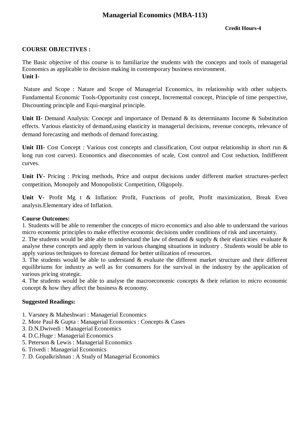# **Managerial Economics (MBA-113)**

## **Credit Hours-4**

## **COURSE OBJECTIVES :**

The Basic objective of this course is to familiarize the students with the concepts and tools of managerial Economics as applicable to decision making in contemporary business environment. **Unit I-**

Nature and Scope : Nature and Scope of Managerial Economics, its relationship with other subjects. Fundamental Economic Tools-Opportunity cost concept, Incremental concept, Principle of time perspective, Discounting principle and Equi-marginal principle.

Unit II- Demand Analysis: Concept and importance of Demand & its determinants Income & Substitution effects. Various elasticity of demand,using elasticity in managerial decisions, revenue concepts, relevance of demand forecasting and methods of demand forecasting.

Unit III- Cost Concept : Various cost concepts and classification, Cost output relationship in short run & long run cost curves). Economics and diseconomies of scale, Cost control and Cost reduction, Indifferent curves.

**Unit IV-** Pricing : Pricing methods, Price and output decisions under different market structures-perfect competition, Monopoly and Monopolistic Competition, Oligopoly.

**Unit V-** Profit Mg t & Inflation: Profit, Functions of profit, Profit maximization, Break Even analysis.Elementary idea of Inflation.

#### **Course Outcomes:**

1. Students will be able to remember the concepts of micro economics and also able to understand the various micro economic principles to make effective economic decisions under conditions of risk and uncertainty.

2. The students would be able able to understand the law of demand  $\&$  supply  $\&$  their elasticities evaluate  $\&$ analyse these concepts and apply them in various changing situations in industry . Students would be able to apply various techniques to forecast demand for better utilization of resources.

3. The students would be able to understand & evaluate the different market structure and their different equilibriums for industry as well as for consumers for the survival in the industry by the application of various pricing strategic.

4. The students would be able to analyse the macroeconomic concepts & their relation to micro economic concept & how they affect the business & economy.

#### **Suggested Readings:**

- 1. Varsney & Maheshwari : Managerial Economics
- 2. Mote Paul & Gupta : Managerial Economics : Concepts & Cases
- 3. D.N.Dwivedi : Managerial Economics
- 4. D.C.Huge : Managerial Economics
- 5. Peterson & Lewis : Managerial Economics
- 6. Trivedi : Managerial Economics
- 7. D. Gopalkrishnan : A Study of Managerial Economics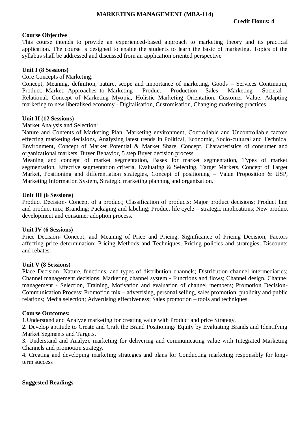#### **MARKETING MANAGEMENT (MBA-114)**

## **Course Objective**

This course intends to provide an experienced-based approach to marketing theory and its practical application. The course is designed to enable the students to learn the basic of marketing. Topics of the syllabus shall be addressed and discussed from an application oriented perspective

#### **Unit I (8 Sessions)**

#### Core Concepts of Marketing:

Concept, Meaning, definition, nature, scope and importance of marketing, Goods – Services Continuum, Product, Market, Approaches to Marketing – Product – Production - Sales – Marketing – Societal – Relational. Concept of Marketing Myopia, Holistic Marketing Orientation, Customer Value, Adapting marketing to new liberalised economy - Digitalisation, Customisation, Changing marketing practices

#### **Unit II (12 Sessions)**

Market Analysis and Selection:

Nature and Contents of Marketing Plan, Marketing environment, Controllable and Uncontrollable factors effecting marketing decisions, Analyzing latest trends in Political, Economic, Socio-cultural and Technical Environment, Concept of Market Potential & Market Share, Concept, Characteristics of consumer and organizational markets, Buyer Behavior, 5 step Buyer decision process

Meaning and concept of market segmentation, Bases for market segmentation, Types of market segmentation, Effective segmentation criteria, Evaluating & Selecting, Target Markets, Concept of Target Market, Positioning and differentiation strategies, Concept of positioning – Value Proposition & USP, Marketing Information System, Strategic marketing planning and organization.

#### **Unit III (6 Sessions)**

Product Decision- Concept of a product; Classification of products; Major product decisions; Product line and product mix; Branding; Packaging and labeling; Product life cycle – strategic implications; New product development and consumer adoption process.

#### **Unit IV (6 Sessions)**

Price Decision- Concept, and Meaning of Price and Pricing, Significance of Pricing Decision, Factors affecting price determination; Pricing Methods and Techniques, Pricing policies and strategies; Discounts and rebates.

#### **Unit V (8 Sessions)**

Place Decision- Nature, functions, and types of distribution channels; Distribution channel intermediaries; Channel management decisions, Marketing channel system - Functions and flows; Channel design, Channel management - Selection, Training, Motivation and evaluation of channel members; Promotion Decision-Communication Process; Promotion mix – advertising, personal selling, sales promotion, publicity and public relations; Media selection; Advertising effectiveness; Sales promotion – tools and techniques.

#### **Course Outcomes:**

1.Understand and Analyze marketing for creating value with Product and price Strategy.

2. Develop aptitude to Create and Craft the Brand Positioning/ Equity by Evaluating Brands and Identifying Market Segments and Targets.

3. Understand and Analyze marketing for delivering and communicating value with Integrated Marketing Channels and promotion strategy.

4. Creating and developing marketing strategies and plans for Conducting marketing responsibly for longterm success

#### **Suggested Readings**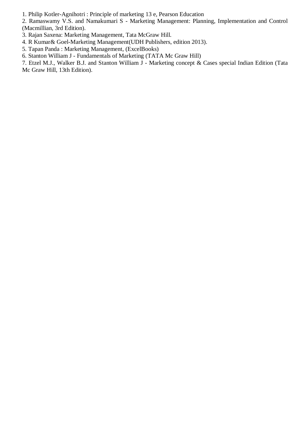1. Philip Kotler-Agnihotri : Principle of marketing 13 e, Pearson Education

2. Ramaswamy V.S. and Namakumari S - Marketing Management: Planning, Implementation and Control (Macmillian, 3rd Edition).

3. Rajan Saxena: Marketing Management, Tata McGraw Hill.

4. R Kumar& Goel-Marketing Management(UDH Publishers, edition 2013).

5. Tapan Panda : Marketing Management, (ExcelBooks)

6. Stanton William J - Fundamentals of Marketing (TATA Mc Graw Hill)

7. Etzel M.J., Walker B.J. and Stanton William J - Marketing concept & Cases special Indian Edition (Tata Mc Graw Hill, 13th Edition).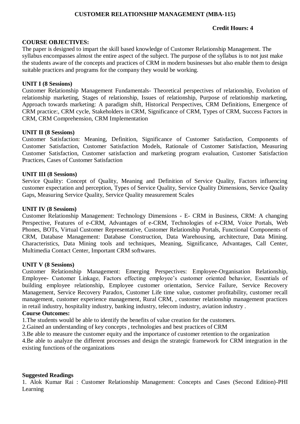## **CUSTOMER RELATIONSHIP MANAGEMENT (MBA-115)**

## **Credit Hours: 4**

## **COURSE OBJECTIVES:**

The paper is designed to impart the skill based knowledge of Customer Relationship Management. The syllabus encompasses almost the entire aspect of the subject. The purpose of the syllabus is to not just make the students aware of the concepts and practices of CRM in modern businesses but also enable them to design suitable practices and programs for the company they would be working.

## **UNIT I (8 Sessions)**

Customer Relationship Management Fundamentals- Theoretical perspectives of relationship, Evolution of relationship marketing, Stages of relationship, Issues of relationship, Purpose of relationship marketing, Approach towards marketing: A paradigm shift, Historical Perspectives, CRM Definitions, Emergence of CRM practice:, CRM cycle, Stakeholders in CRM, Significance of CRM, Types of CRM, Success Factors in CRM, CRM Comprehension, CRM Implementation

## **UNIT II (8 Sessions)**

Customer Satisfaction: Meaning, Definition, Significance of Customer Satisfaction, Components of Customer Satisfaction, Customer Satisfaction Models, Rationale of Customer Satisfaction, Measuring Customer Satisfaction, Customer satisfaction and marketing program evaluation, Customer Satisfaction Practices, Cases of Customer Satisfaction

#### **UNIT III (8 Sessions)**

Service Quality: Concept of Quality, Meaning and Definition of Service Quality, Factors influencing customer expectation and perception, Types of Service Quality, Service Quality Dimensions, Service Quality Gaps, Measuring Service Quality, Service Quality measurement Scales

## **UNIT IV (8 Sessions)**

Customer Relationship Management: Technology Dimensions - E- CRM in Business, CRM: A changing Perspective, Features of e-CRM, Advantages of e-CRM, Technologies of e-CRM, Voice Portals, Web Phones, BOTs, Virtual Customer Representative, Customer Relationship Portals, Functional Components of CRM, Database Management: Database Construction, Data Warehousing, architecture, Data Mining. Characteristics, Data Mining tools and techniques, Meaning, Significance, Advantages, Call Center, Multimedia Contact Center, Important CRM softwares.

#### **UNIT V (8 Sessions)**

Customer Relationship Management: Emerging Perspectives: Employee-Organisation Relationship, Employee- Customer Linkage, Factors effecting employee's customer oriented behavior, Essentials of building employee relationship, Employee customer orientation, Service Failure, Service Recovery Management, Service Recovery Paradox, Customer Life time value, customer profitability, customer recall management, customer experience management, Rural CRM, , customer relationship management practices in retail industry, hospitality industry, banking industry, telecom industry, aviation industry .

#### **Course Outcomes:**

1.The students would be able to identify the benefits of value creation for the customers.

2.Gained an understanding of key concepts , technologies and best practices of CRM

3.Be able to measure the customer equity and the importance of customer retention to the organization

4.Be able to analyze the different processes and design the strategic framework for CRM integration in the existing functions of the organizations

## **Suggested Readings**

1. Alok Kumar Rai : Customer Relationship Management: Concepts and Cases (Second Edition)-PHI Learning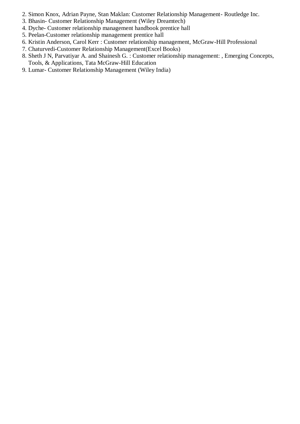- 2. Simon Knox, Adrian Payne, Stan Maklan: Customer Relationship Management- Routledge Inc.
- 3. Bhasin- Customer Relationship Management (Wiley Dreamtech)
- 4. Dyche- Customer relationship management handbook prentice hall
- 5. Peelan-Customer relationship management prentice hall
- 6. Kristin Anderson, Carol Kerr : Customer relationship management, McGraw-Hill Professional
- 7. Chaturvedi-Customer Relationship Management(Excel Books)
- 8. Sheth J N, Parvatiyar A. and Shainesh G. : Customer relationship management: , Emerging Concepts, Tools, & Applications, Tata McGraw-Hill Education
- 9. Lumar- Customer Relationship Management (Wiley India)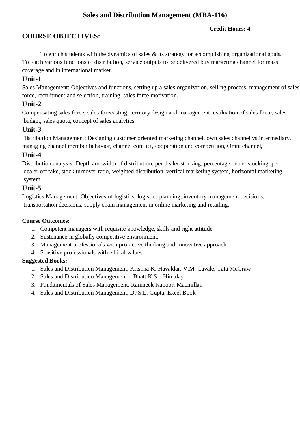# **Sales and Distribution Management (MBA-116)**

## **Credit Hours: 4**

# **COURSE OBJECTIVES:**

To enrich students with the dynamics of sales  $\&$  its strategy for accomplishing organizational goals. To teach various functions of distribution, service outputs to be delivered buy marketing channel for mass coverage and in international market.

# **Unit-1**

Sales Management: Objectives and functions, setting up a sales organization, selling process, management of sales force, recruitment and selection, training, sales force motivation.

## **Unit-2**

Compensating sales force, sales forecasting, territory design and management, evaluation of sales force, sales budget, sales quota, concept of sales analytics.

# **Unit-3**

Distribution Management: Designing customer oriented marketing channel, own sales channel vs intermediary, managing channel member behavior, channel conflict, cooperation and competition, Omni channel,

# **Unit-4**

Distribution analysis- Depth and width of distribution, per dealer stocking, percentage dealer stocking, per dealer off take, stock turnover ratio, weighted distribution, vertical marketing system, horizontal marketing system

# **Unit-5**

Logistics Management: Objectives of logistics, logistics planning, inventory management decisions, transportation decisions, supply chain management in online marketing and retailing.

## **Course Outcomes:**

- 1. Competent managers with requisite knowledge, skills and right attitude
- 2. Sustenance in globally competitive environment.
- 3. Management professionals with pro-active thinking and Innovative approach
- 4. Sensitive professionals with ethical values.

## **Suggested Books:**

- 1. Sales and Distribution Management, Krishna K. Havaldar, V.M. Cavale, Tata McGraw
- 2. Sales and Distribution Management Bhatt K.S Himalay
- 3. Fundamentals of Sales Management, Ramneek Kapoor, Macmillan
- 4. Sales and Distribution Management, Dr.S.L. Gupta, Excel Book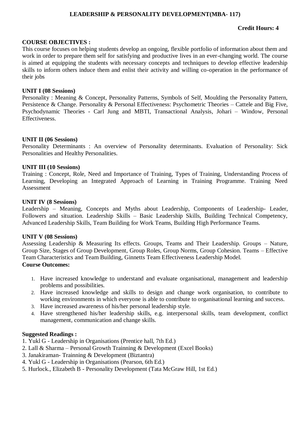## **LEADERSHIP & PERSONALITY DEVELOPMENT(MBA- 117)**

## **Credit Hours: 4**

#### **COURSE OBJECTIVES :**

This course focuses on helping students develop an ongoing, flexible portfolio of information about them and work in order to prepare them self for satisfying and productive lives in an ever-changing world. The course is aimed at equipping the students with necessary concepts and techniques to develop effective leadership skills to inform others induce them and enlist their activity and willing co-operation in the performance of their jobs

#### **UNIT I (08 Sessions)**

Personality : Meaning & Concept, Personality Patterns, Symbols of Self, Moulding the Personality Pattern, Persistence & Change. Personality & Personal Effectiveness: Psychometric Theories – Cattele and Big Five, Psychodynamic Theories - Carl Jung and MBTI, Transactional Analysis, Johari – Window, Personal Effectiveness.

#### **UNIT II (06 Sessions)**

Personality Determinants : An overview of Personality determinants. Evaluation of Personality: Sick Personalities and Healthy Personalities.

#### **UNIT III (10 Sessions)**

Training : Concept, Role, Need and Importance of Training, Types of Training, Understanding Process of Learning, Developing an Integrated Approach of Learning in Training Programme. Training Need Assessment

#### **UNIT IV (8 Sessions)**

Leadership – Meaning, Concepts and Myths about Leadership, Components of Leadership- Leader, Followers and situation. Leadership Skills – Basic Leadership Skills, Building Technical Competency, Advanced Leadership Skills, Team Building for Work Teams, Building High Performance Teams.

#### **UNIT V (08 Sessions)**

Assessing Leadership & Measuring Its effects. Groups, Teams and Their Leadership. Groups – Nature, Group Size, Stages of Group Development, Group Roles, Group Norms, Group Cohesion. Teams – Effective Team Characteristics and Team Building, Ginnetts Team Effectiveness Leadership Model. **Course Outcomes:**

## 1. Have increased knowledge to understand and evaluate organisational, management and leadership problems and possibilities.

- 2. Have increased knowledge and skills to design and change work organisation, to contribute to working environments in which everyone is able to contribute to organisational learning and success.
- 3. Have increased awareness of his/her personal leadership style.
- 4. Have strengthened his/her leadership skills, e.g. interpersonal skills, team development, conflict management, communication and change skills.

#### **Suggested Readings :**

- 1. Yukl G Leadership in Organisations (Prentice hall, 7th Ed.)
- 2. Lall & Sharma Personal Growth Trainning & Development (Excel Books)
- 3. Janakiraman- Trainning & Development (Biztantra)
- 4. Yukl G Leadership in Organisations (Pearson, 6th Ed.)
- 5. Hurlock., Elizabeth B Personality Development (Tata McGraw Hill, 1st Ed.)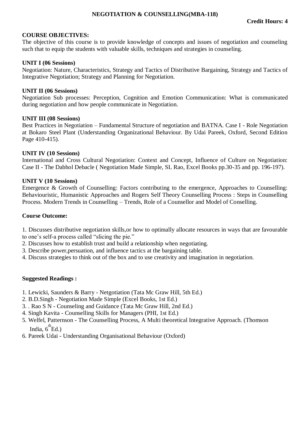## **NEGOTIATION & COUNSELLING(MBA-118)**

## **COURSE OBJECTIVES:**

The objective of this course is to provide knowledge of concepts and issues of negotiation and counseling such that to equip the students with valuable skills, techniques and strategies in counseling.

#### **UNIT I (06 Sessions)**

Negotiation: Nature, Characteristics, Strategy and Tactics of Distributive Bargaining, Strategy and Tactics of Integrative Negotiation; Strategy and Planning for Negotiation.

#### **UNIT II (06 Sessions)**

Negotiation Sub processes: Perception, Cognition and Emotion Communication: What is communicated during negotiation and how people communicate in Negotiation.

## **UNIT III (08 Sessions)**

Best Practices in Negotiation – Fundamental Structure of negotiation and BATNA. Case I - Role Negotiation at Bokaro Steel Plant (Understanding Organizational Behaviour. By Udai Pareek, Oxford, Second Edition Page 410-415).

## **UNIT IV (10 Sessions)**

International and Cross Cultural Negotiation: Context and Concept, Influence of Culture on Negotiation: Case II - The Dabhol Debacle ( Negotiation Made Simple, SL Rao, Excel Books pp.30-35 and pp. 196-197).

## **UNIT V (10 Sessions)**

Emergence & Growth of Counselling: Factors contributing to the emergence, Approaches to Counselling: Behaviouristic, Humanistic Approaches and Rogers Self Theory Counselling Process : Steps in Counselling Process. Modern Trends in Counselling – Trends, Role of a Counsellor and Model of Conselling.

## **Course Outcome:**

1. Discusses distributive negotiation skills,or how to optimally allocate resources in ways that are favourable to one's self-a process called "slicing the pie."

- 2. Discusses how to establish trust and build a relationship when negotiating.
- 3. Describe power,persuation, and influence tactics at the bargaining table.
- 4. Discuss strategies to think out of the box and to use creativity and imagination in negotiation.

#### **Suggested Readings :**

- 1. Lewicki, Saunders & Barry Netgotiation (Tata Mc Graw Hill, 5th Ed.)
- 2. B.D.Singh Negotiation Made Simple (Excel Books, 1st Ed.)
- 3. . Rao S N Counseling and Guidance (Tata Mc Graw Hill, 2nd Ed.)
- 4. Singh Kavita Counselling Skills for Managers (PHI, 1st Ed.)
- 5. Welfel, Patternson The Counselling Process, A Multi theoretical Integrative Approach. (Thomson India,  $6^{th}$ Ed.)
- 6. Pareek Udai Understanding Organisational Behaviour (Oxford)